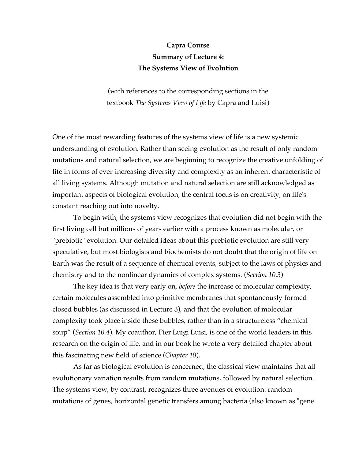## **Capra Course Summary of Lecture 4: The Systems View of Evolution**

(with references to the corresponding sections in the textbook *The Systems View of Life* by Capra and Luisi)

One of the most rewarding features of the systems view of life is a new systemic understanding of evolution. Rather than seeing evolution as the result of only random mutations and natural selection, we are beginning to recognize the creative unfolding of life in forms of ever-increasing diversity and complexity as an inherent characteristic of all living systems. Although mutation and natural selection are still acknowledged as important aspects of biological evolution, the central focus is on creativity, on life's constant reaching out into novelty.

To begin with, the systems view recognizes that evolution did not begin with the first living cell but millions of years earlier with a process known as molecular, or "prebiotic" evolution. Our detailed ideas about this prebiotic evolution are still very speculative, but most biologists and biochemists do not doubt that the origin of life on Earth was the result of a sequence of chemical events, subject to the laws of physics and chemistry and to the nonlinear dynamics of complex systems. (*Section 10.3*)

The key idea is that very early on, *before* the increase of molecular complexity, certain molecules assembled into primitive membranes that spontaneously formed closed bubbles (as discussed in Lecture 3), and that the evolution of molecular complexity took place inside these bubbles, rather than in a structureless "chemical soup" (*Section 10.4*). My coauthor, Pier Luigi Luisi, is one of the world leaders in this research on the origin of life, and in our book he wrote a very detailed chapter about this fascinating new field of science (*Chapter 10*).

As far as biological evolution is concerned, the classical view maintains that all evolutionary variation results from random mutations, followed by natural selection. The systems view, by contrast, recognizes three avenues of evolution: random mutations of genes, horizontal genetic transfers among bacteria (also known as "gene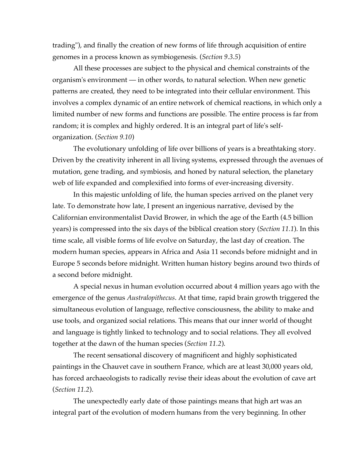trading"), and finally the creation of new forms of life through acquisition of entire genomes in a process known as symbiogenesis. (*Section 9.3.5*)

All these processes are subject to the physical and chemical constraints of the organism's environment — in other words, to natural selection. When new genetic patterns are created, they need to be integrated into their cellular environment. This involves a complex dynamic of an entire network of chemical reactions, in which only a limited number of new forms and functions are possible. The entire process is far from random; it is complex and highly ordered. It is an integral part of life's selforganization. (*Section 9.10*)

The evolutionary unfolding of life over billions of years is a breathtaking story. Driven by the creativity inherent in all living systems, expressed through the avenues of mutation, gene trading, and symbiosis, and honed by natural selection, the planetary web of life expanded and complexified into forms of ever-increasing diversity.

In this majestic unfolding of life, the human species arrived on the planet very late. To demonstrate how late, I present an ingenious narrative, devised by the Californian environmentalist David Brower, in which the age of the Earth (4.5 billion years) is compressed into the six days of the biblical creation story (*Section 11.1*). In this time scale, all visible forms of life evolve on Saturday, the last day of creation. The modern human species, appears in Africa and Asia 11 seconds before midnight and in Europe 5 seconds before midnight. Written human history begins around two thirds of a second before midnight.

A special nexus in human evolution occurred about 4 million years ago with the emergence of the genus *Australopithecus*. At that time, rapid brain growth triggered the simultaneous evolution of language, reflective consciousness, the ability to make and use tools, and organized social relations. This means that our inner world of thought and language is tightly linked to technology and to social relations. They all evolved together at the dawn of the human species (*Section 11.2*).

The recent sensational discovery of magnificent and highly sophisticated paintings in the Chauvet cave in southern France, which are at least 30,000 years old, has forced archaeologists to radically revise their ideas about the evolution of cave art (*Section 11.2*).

The unexpectedly early date of those paintings means that high art was an integral part of the evolution of modern humans from the very beginning. In other